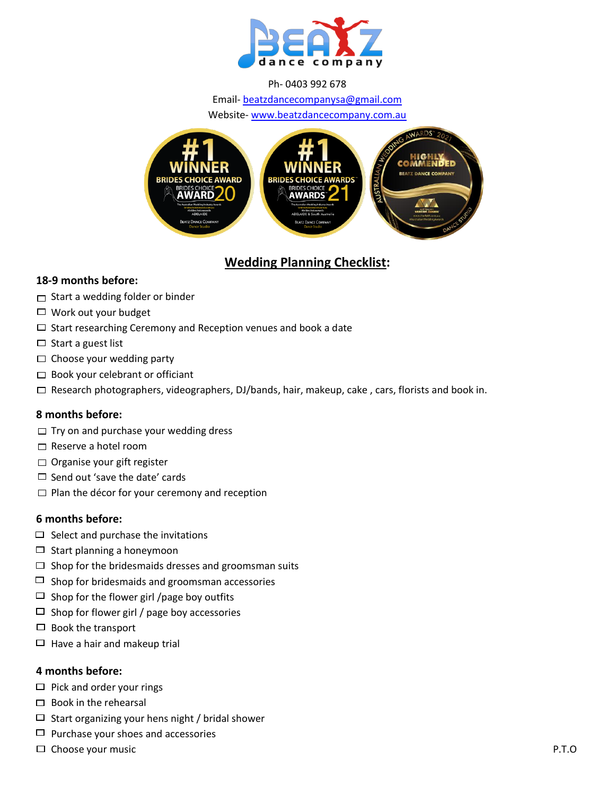

#### Ph- 0403 992 678

Email- [beatzdancecompanysa@gmail.com](mailto:beatzdancecompanysa@gmail.com)

Website- [www.beatzdancecompany.com.au](http://www.beatzdancecompany.com.au/)



# **Wedding Planning Checklist:**

#### **18-9 months before:**

- $\Box$  Start a wedding folder or binder
- $\Box$  Work out your budget
- $\Box$  Start researching Ceremony and Reception venues and book a date
- $\Box$  Start a guest list
- $\Box$  Choose your wedding party
- $\Box$  Book your celebrant or officiant
- $\Box$  Research photographers, videographers, DJ/bands, hair, makeup, cake, cars, florists and book in.

#### **8 months before:**

- $\Box$  Try on and purchase your wedding dress
- □ Reserve a hotel room
- $\Box$  Organise your gift register
- $\Box$  Send out 'save the date' cards
- $\Box$  Plan the décor for your ceremony and reception

#### **6 months before:**

- $\Box$  Select and purchase the invitations
- $\Box$  Start planning a honeymoon
- $\Box$  Shop for the bridesmaids dresses and groomsman suits
- $\Box$  Shop for bridesmaids and groomsman accessories
- $\Box$  Shop for the flower girl /page boy outfits
- $\Box$  Shop for flower girl / page boy accessories
- $\Box$  Book the transport
- $\Box$  Have a hair and makeup trial

#### **4 months before:**

- $\Box$  Pick and order your rings
- $\Box$  Book in the rehearsal
- $\Box$  Start organizing your hens night / bridal shower
- $\Box$  Purchase your shoes and accessories
- $\square$  Choose your music  $\rho$ . P.T.O